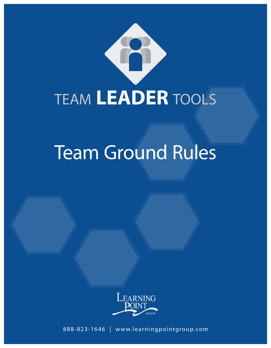

# Team Ground Rules



**1 Learning Point Group | 888-823-1646 | www.learningpointgroup.com** 888-823-1646 | www.learningpointgroup.com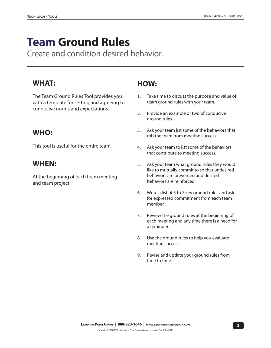## **Team Ground Rules**

Create and condition desired behavior.

#### **WHAT:**

The Team Ground Rules Tool provides you with a template for setting and agreeing to conducive norms and expectations.

#### **WHO:**

This tool is useful for the entire team.

#### **WHEN:**

At the beginning of each team meeting and team project.

#### **HOW:**

- 1. Take time to discuss the purpose and value of team ground rules with your team.
- 2. Provide an example or two of conducive ground rules.
- 3. Ask your team list some of the behaviors that rob the team from meeting success.
- 4. Ask your team to list some of the behaviors that contribute to meeting success.
- 5. Ask your team what ground rules they would like to mutually commit to so that undesired behaviors are prevented and desired behaviors are reinforced.
- 6. Write a list of 5 to 7 key ground rules and ask for expressed commitment from each team member.
- 7. Review the ground rules at the beginning of each meeting and any time there is a need for a reminder.
- 8. Use the ground rules to help you evaluate meeting success.
- 9. Revise and update your ground rules from time to time.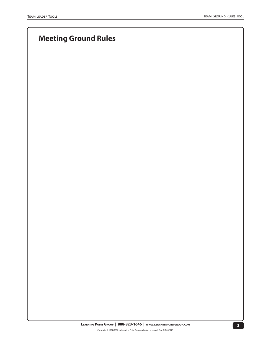### **Meeting Ground Rules**